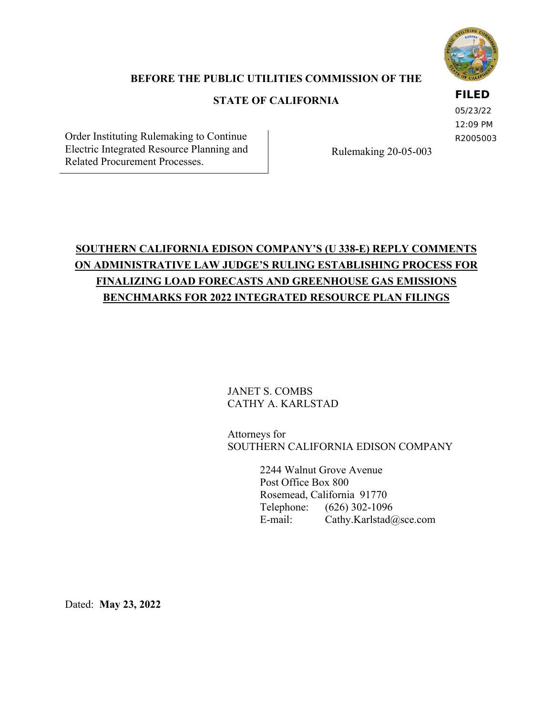

### **BEFORE THE PUBLIC UTILITIES COMMISSION OF THE**

### **STATE OF CALIFORNIA**

#### **FILED**

05/23/22 12:09 PM R2005003

Order Instituting Rulemaking to Continue Electric Integrated Resource Planning and Electric Integrated Resource Planning and<br>Related Procurement Processes.

# **SOUTHERN CALIFORNIA EDISON COMPANY'S (U 338-E) REPLY COMMENTS ON ADMINISTRATIVE LAW JUDGE'S RULING ESTABLISHING PROCESS FOR FINALIZING LOAD FORECASTS AND GREENHOUSE GAS EMISSIONS BENCHMARKS FOR 2022 INTEGRATED RESOURCE PLAN FILINGS**

JANET S. COMBS CATHY A. KARLSTAD

Attorneys for SOUTHERN CALIFORNIA EDISON COMPANY

> 2244 Walnut Grove Avenue Post Office Box 800 Rosemead, California 91770 Telephone: (626) 302-1096 E-mail: Cathy.Karlstad@sce.com

Dated: **May 23, 2022**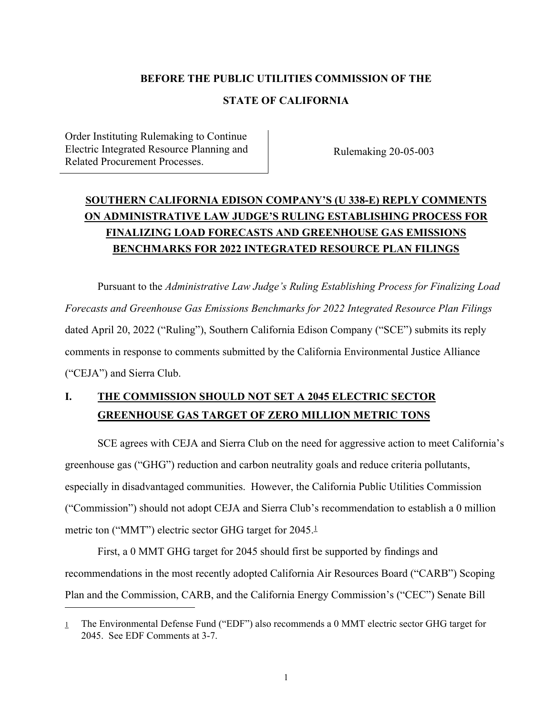#### **BEFORE THE PUBLIC UTILITIES COMMISSION OF THE**

#### **STATE OF CALIFORNIA**

Order Instituting Rulemaking to Continue Electric Integrated Resource Planning and Electric Integrated Resource Planning and<br>Related Procurement Processes.

## **SOUTHERN CALIFORNIA EDISON COMPANY'S (U 338-E) REPLY COMMENTS ON ADMINISTRATIVE LAW JUDGE'S RULING ESTABLISHING PROCESS FOR FINALIZING LOAD FORECASTS AND GREENHOUSE GAS EMISSIONS BENCHMARKS FOR 2022 INTEGRATED RESOURCE PLAN FILINGS**

Pursuant to the *Administrative Law Judge's Ruling Establishing Process for Finalizing Load Forecasts and Greenhouse Gas Emissions Benchmarks for 2022 Integrated Resource Plan Filings* dated April 20, 2022 ("Ruling"), Southern California Edison Company ("SCE") submits its reply comments in response to comments submitted by the California Environmental Justice Alliance ("CEJA") and Sierra Club.

## **I. THE COMMISSION SHOULD NOT SET A 2045 ELECTRIC SECTOR GREENHOUSE GAS TARGET OF ZERO MILLION METRIC TONS**

SCE agrees with CEJA and Sierra Club on the need for aggressive action to meet California's greenhouse gas ("GHG") reduction and carbon neutrality goals and reduce criteria pollutants, especially in disadvantaged communities. However, the California Public Utilities Commission ("Commission") should not adopt CEJA and Sierra Club's recommendation to establish a 0 million metric ton ("MMT") electric sector GHG target for 2045.<sup>1</sup>

First, a 0 MMT GHG target for 2045 should first be supported by findings and recommendations in the most recently adopted California Air Resources Board ("CARB") Scoping Plan and the Commission, CARB, and the California Energy Commission's ("CEC") Senate Bill

<sup>1</sup> The Environmental Defense Fund ("EDF") also recommends a 0 MMT electric sector GHG target for 2045. See EDF Comments at 3-7.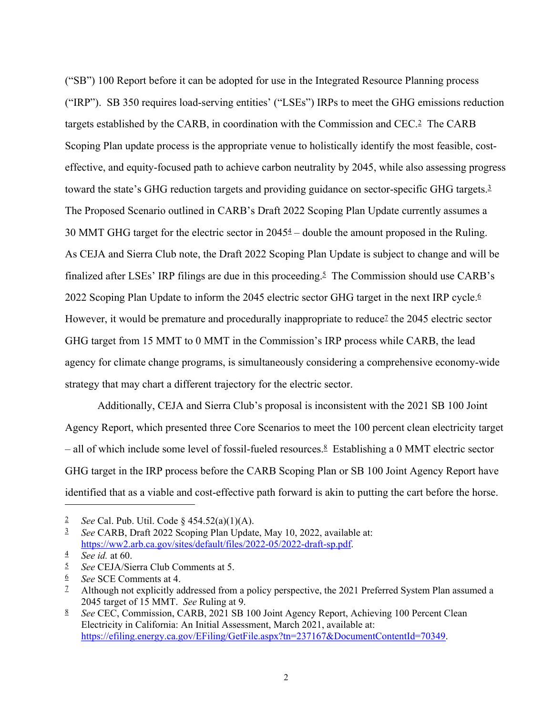("SB") 100 Report before it can be adopted for use in the Integrated Resource Planning process ("IRP"). SB 350 requires load-serving entities' ("LSEs") IRPs to meet the GHG emissions reduction targets established by the CARB, in coordination with the Commission and CEC.2 The CARB Scoping Plan update process is the appropriate venue to holistically identify the most feasible, costeffective, and equity-focused path to achieve carbon neutrality by 2045, while also assessing progress toward the state's GHG reduction targets and providing guidance on sector-specific GHG targets.<sup>3</sup> The Proposed Scenario outlined in CARB's Draft 2022 Scoping Plan Update currently assumes a 30 MMT GHG target for the electric sector in 20454 – double the amount proposed in the Ruling. As CEJA and Sierra Club note, the Draft 2022 Scoping Plan Update is subject to change and will be finalized after LSEs' IRP filings are due in this proceeding.5 The Commission should use CARB's 2022 Scoping Plan Update to inform the 2045 electric sector GHG target in the next IRP cycle.6 However, it would be premature and procedurally inappropriate to reduce<sup> $2$ </sup> the 2045 electric sector GHG target from 15 MMT to 0 MMT in the Commission's IRP process while CARB, the lead agency for climate change programs, is simultaneously considering a comprehensive economy-wide strategy that may chart a different trajectory for the electric sector.

Additionally, CEJA and Sierra Club's proposal is inconsistent with the 2021 SB 100 Joint Agency Report, which presented three Core Scenarios to meet the 100 percent clean electricity target  $-$  all of which include some level of fossil-fueled resources.<sup>8</sup> Establishing a 0 MMT electric sector GHG target in the IRP process before the CARB Scoping Plan or SB 100 Joint Agency Report have identified that as a viable and cost-effective path forward is akin to putting the cart before the horse.

<sup>2</sup> *See* Cal. Pub. Util. Code § 454.52(a)(1)(A).

<sup>3</sup> *See* CARB, Draft 2022 Scoping Plan Update, May 10, 2022, available at: https://ww2.arb.ca.gov/sites/default/files/2022-05/2022-draft-sp.pdf. 4 *See id.* at 60.

<sup>5</sup> *See* CEJA/Sierra Club Comments at 5.

<sup>6</sup> *See* SCE Comments at 4.

<sup>&</sup>lt;sup>2</sup> Although not explicitly addressed from a policy perspective, the 2021 Preferred System Plan assumed a 2045 target of 15 MMT. *See* Ruling at 9.

<sup>8</sup> *See* CEC, Commission, CARB, 2021 SB 100 Joint Agency Report, Achieving 100 Percent Clean Electricity in California: An Initial Assessment, March 2021, available at: https://efiling.energy.ca.gov/EFiling/GetFile.aspx?tn=237167&DocumentContentId=70349.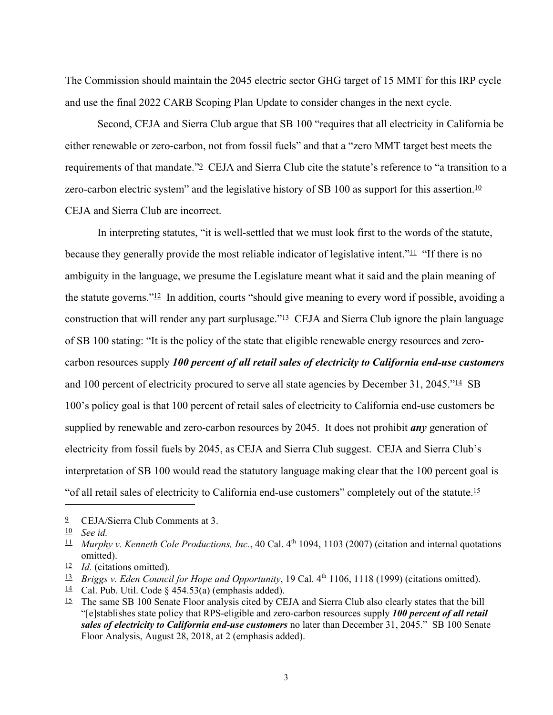The Commission should maintain the 2045 electric sector GHG target of 15 MMT for this IRP cycle and use the final 2022 CARB Scoping Plan Update to consider changes in the next cycle.

Second, CEJA and Sierra Club argue that SB 100 "requires that all electricity in California be either renewable or zero-carbon, not from fossil fuels" and that a "zero MMT target best meets the requirements of that mandate."9 CEJA and Sierra Club cite the statute's reference to "a transition to a zero-carbon electric system" and the legislative history of SB 100 as support for this assertion.<sup>10</sup> CEJA and Sierra Club are incorrect.

In interpreting statutes, "it is well-settled that we must look first to the words of the statute, because they generally provide the most reliable indicator of legislative intent." $\perp$  "If there is no ambiguity in the language, we presume the Legislature meant what it said and the plain meaning of the statute governs."12 In addition, courts "should give meaning to every word if possible, avoiding a construction that will render any part surplusage."13 CEJA and Sierra Club ignore the plain language of SB 100 stating: "It is the policy of the state that eligible renewable energy resources and zerocarbon resources supply *100 percent of all retail sales of electricity to California end-use customers* and 100 percent of electricity procured to serve all state agencies by December 31, 2045."<sup>14</sup> SB 100's policy goal is that 100 percent of retail sales of electricity to California end-use customers be supplied by renewable and zero-carbon resources by 2045. It does not prohibit *any* generation of electricity from fossil fuels by 2045, as CEJA and Sierra Club suggest. CEJA and Sierra Club's interpretation of SB 100 would read the statutory language making clear that the 100 percent goal is "of all retail sales of electricity to California end-use customers" completely out of the statute.15

<sup>9</sup> CEJA/Sierra Club Comments at 3.

<sup>10</sup> *See id.*

 $\frac{11}{2}$  *Murphy v. Kenneth Cole Productions, Inc.*, 40 Cal. 4<sup>th</sup> 1094, 1103 (2007) (citation and internal quotations omitted).

<sup>12</sup> *Id.* (citations omitted).

<sup>13</sup> *Briggs v. Eden Council for Hope and Opportunity*, 19 Cal. 4th 1106, 1118 (1999) (citations omitted).

 $\frac{14}{1}$  Cal. Pub. Util. Code § 454.53(a) (emphasis added).

 $15$  The same SB 100 Senate Floor analysis cited by CEJA and Sierra Club also clearly states that the bill "[e]stablishes state policy that RPS-eligible and zero-carbon resources supply *100 percent of all retail sales of electricity to California end-use customers* no later than December 31, 2045." SB 100 Senate Floor Analysis, August 28, 2018, at 2 (emphasis added).